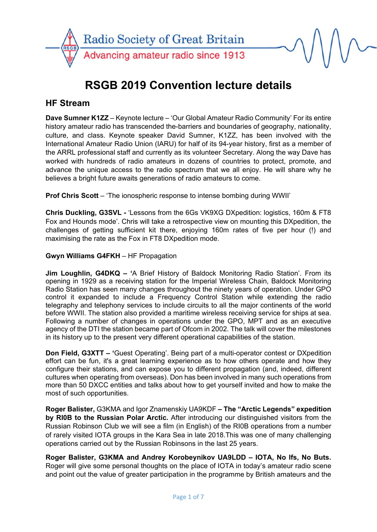

# **RSGB 2019 Convention lecture details**

# **HF Stream**

**Dave Sumner K1ZZ** – Keynote lecture – 'Our Global Amateur Radio Community' For its entire history amateur radio has transcended the-barriers and boundaries of geography, nationality, culture, and class. Keynote speaker David Sumner, K1ZZ, has been involved with the International Amateur Radio Union (IARU) for half of its 94-year history, first as a member of the ARRL professional staff and currently as its volunteer Secretary. Along the way Dave has worked with hundreds of radio amateurs in dozens of countries to protect, promote, and advance the unique access to the radio spectrum that we all enjoy. He will share why he believes a bright future awaits generations of radio amateurs to come.

**Prof Chris Scott** – 'The ionospheric response to intense bombing during WWII'

**Chris Duckling, G3SVL -** 'Lessons from the 6Gs VK9XG DXpedition: logistics, 160m & FT8 Fox and Hounds mode'. Chris will take a retrospective view on mounting this DXpedition, the challenges of getting sufficient kit there, enjoying 160m rates of five per hour (!) and maximising the rate as the Fox in FT8 DXpedition mode.

#### **Gwyn Williams G4FKH** – HF Propagation

**Jim Loughlin, G4DKQ – '**A Brief History of Baldock Monitoring Radio Station'. From its opening in 1929 as a receiving station for the Imperial Wireless Chain, Baldock Monitoring Radio Station has seen many changes throughout the ninety years of operation. Under GPO control it expanded to include a Frequency Control Station while extending the radio telegraphy and telephony services to include circuits to all the major continents of the world before WWII. The station also provided a maritime wireless receiving service for ships at sea. Following a number of changes in operations under the GPO, MPT and as an executive agency of the DTI the station became part of Ofcom in 2002. The talk will cover the milestones in its history up to the present very different operational capabilities of the station.

**Don Field, G3XTT – '**Guest Operating'. Being part of a multi-operator contest or DXpedition effort can be fun, it's a great learning experience as to how others operate and how they configure their stations, and can expose you to different propagation (and, indeed, different cultures when operating from overseas). Don has been involved in many such operations from more than 50 DXCC entities and talks about how to get yourself invited and how to make the most of such opportunities.

**Roger Balister,** G3KMA and Igor Znamenskiy UA9KDF **– The "Arctic Legends" expedition by RI0B to the Russian Polar Arctic.** After introducing our distinguished visitors from the Russian Robinson Club we will see a film (in English) of the RI0B operations from a number of rarely visited IOTA groups in the Kara Sea in late 2018.This was one of many challenging operations carried out by the Russian Robinsons in the last 25 years.

**Roger Balister, G3KMA and Andrey Korobeynikov UA9LDD – IOTA, No Ifs, No Buts.**  Roger will give some personal thoughts on the place of IOTA in today's amateur radio scene and point out the value of greater participation in the programme by British amateurs and the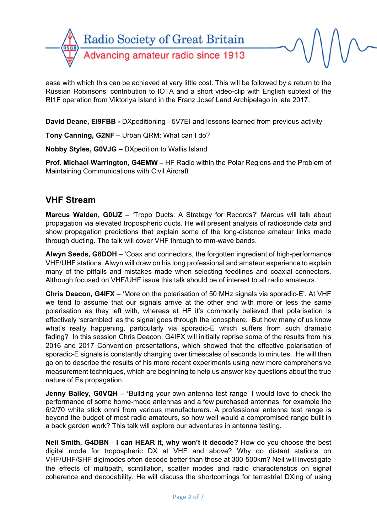

ease with which this can be achieved at very little cost. This will be followed by a return to the Russian Robinsons' contribution to IOTA and a short video-clip with English subtext of the RI1F operation from Viktoriya Island in the Franz Josef Land Archipelago in late 2017.

**David Deane, EI9FBB -** DXpeditioning - 5V7EI and lessons learned from previous activity

**Tony Canning, G2NF** – Urban QRM; What can I do?

**Nobby Styles, G0VJG –** DXpedition to Wallis Island

**Prof. Michael Warrington, G4EMW –** HF Radio within the Polar Regions and the Problem of Maintaining Communications with Civil Aircraft

## **VHF Stream**

**Marcus Walden, G0IJZ** – 'Tropo Ducts: A Strategy for Records?' Marcus will talk about propagation via elevated tropospheric ducts. He will present analysis of radiosonde data and show propagation predictions that explain some of the long-distance amateur links made through ducting. The talk will cover VHF through to mm-wave bands.

**Alwyn Seeds, G8DOH** – 'Coax and connectors, the forgotten ingredient of high-performance VHF/UHF stations. Alwyn will draw on his long professional and amateur experience to explain many of the pitfalls and mistakes made when selecting feedlines and coaxial connectors. Although focused on VHF/UHF issue this talk should be of interest to all radio amateurs.

**Chris Deacon, G4IFX** – 'More on the polarisation of 50 MHz signals via sporadic-E'. At VHF we tend to assume that our signals arrive at the other end with more or less the same polarisation as they left with, whereas at HF it's commonly believed that polarisation is effectively 'scrambled' as the signal goes through the ionosphere. But how many of us know what's really happening, particularly via sporadic-E which suffers from such dramatic fading? In this session Chris Deacon, G4IFX will initially reprise some of the results from his 2016 and 2017 Convention presentations, which showed that the effective polarisation of sporadic-E signals is constantly changing over timescales of seconds to minutes. He will then go on to describe the results of his more recent experiments using new more comprehensive measurement techniques, which are beginning to help us answer key questions about the true nature of Es propagation.

**Jenny Bailey, G0VQH – '**Building your own antenna test range' I would love to check the performance of some home-made antennas and a few purchased antennas, for example the 6/2/70 white stick omni from various manufacturers. A professional antenna test range is beyond the budget of most radio amateurs, so how well would a compromised range built in a back garden work? This talk will explore our adventures in antenna testing.

**Neil Smith, G4DBN** - **I can HEAR it, why won't it decode?** How do you choose the best digital mode for tropospheric DX at VHF and above? Why do distant stations on VHF/UHF/SHF digimodes often decode better than those at 300-500km? Neil will investigate the effects of multipath, scintillation, scatter modes and radio characteristics on signal coherence and decodability. He will discuss the shortcomings for terrestrial DXing of using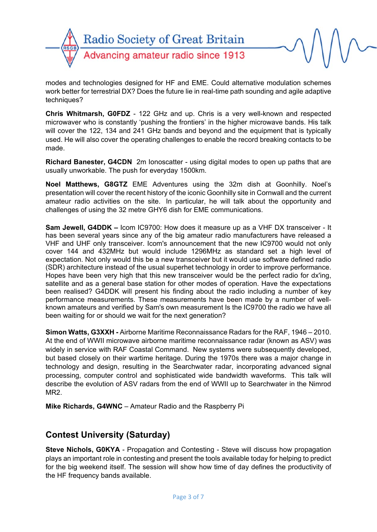

modes and technologies designed for HF and EME. Could alternative modulation schemes work better for terrestrial DX? Does the future lie in real-time path sounding and agile adaptive techniques?

**Chris Whitmarsh, G0FDZ** - 122 GHz and up. Chris is a very well-known and respected microwaver who is constantly 'pushing the frontiers' in the higher microwave bands. His talk will cover the 122, 134 and 241 GHz bands and beyond and the equipment that is typically used. He will also cover the operating challenges to enable the record breaking contacts to be made.

**Richard Banester, G4CDN** 2m Ionoscatter - using digital modes to open up paths that are usually unworkable. The push for everyday 1500km.

**Noel Matthews, G8GTZ** EME Adventures using the 32m dish at Goonhilly. Noel's presentation will cover the recent history of the iconic Goonhilly site in Cornwall and the current amateur radio activities on the site. In particular, he will talk about the opportunity and challenges of using the 32 metre GHY6 dish for EME communications.

**Sam Jewell, G4DDK –** Icom IC9700: How does it measure up as a VHF DX transceiver - It has been several years since any of the big amateur radio manufacturers have released a VHF and UHF only transceiver. Icom's announcement that the new IC9700 would not only cover 144 and 432MHz but would include 1296MHz as standard set a high level of expectation. Not only would this be a new transceiver but it would use software defined radio (SDR) architecture instead of the usual superhet technology in order to improve performance. Hopes have been very high that this new transceiver would be the perfect radio for dx'ing, satellite and as a general base station for other modes of operation. Have the expectations been realised? G4DDK will present his finding about the radio including a number of key performance measurements. These measurements have been made by a number of wellknown amateurs and verified by Sam's own measurement Is the IC9700 the radio we have all been waiting for or should we wait for the next generation?

**Simon Watts, G3XXH -** Airborne Maritime Reconnaissance Radars for the RAF, 1946 – 2010. At the end of WWII microwave airborne maritime reconnaissance radar (known as ASV) was widely in service with RAF Coastal Command. New systems were subsequently developed, but based closely on their wartime heritage. During the 1970s there was a major change in technology and design, resulting in the Searchwater radar, incorporating advanced signal processing, computer control and sophisticated wide bandwidth waveforms. This talk will describe the evolution of ASV radars from the end of WWII up to Searchwater in the Nimrod MR<sub>2</sub>

**Mike Richards, G4WNC** – Amateur Radio and the Raspberry Pi

# **Contest University (Saturday)**

**Steve Nichols, G0KYA** - Propagation and Contesting - Steve will discuss how propagation plays an important role in contesting and present the tools available today for helping to predict for the big weekend itself. The session will show how time of day defines the productivity of the HF frequency bands available.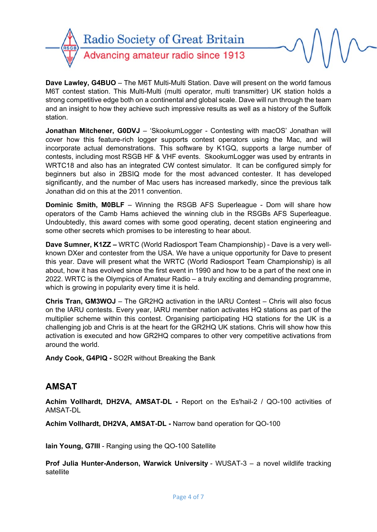

**Dave Lawley, G4BUO** – The M6T Multi-Multi Station. Dave will present on the world famous M6T contest station. This Multi-Multi (multi operator, multi transmitter) UK station holds a strong competitive edge both on a continental and global scale. Dave will run through the team and an insight to how they achieve such impressive results as well as a history of the Suffolk station.

**Jonathan Mitchener, G0DVJ** – 'SkookumLogger - Contesting with macOS' Jonathan will cover how this feature-rich logger supports contest operators using the Mac, and will incorporate actual demonstrations. This software by K1GQ, supports a large number of contests, including most RSGB HF & VHF events. SkookumLogger was used by entrants in WRTC18 and also has an integrated CW contest simulator. It can be configured simply for beginners but also in 2BSIQ mode for the most advanced contester. It has developed significantly, and the number of Mac users has increased markedly, since the previous talk Jonathan did on this at the 2011 convention.

**Dominic Smith, M0BLF** – Winning the RSGB AFS Superleague - Dom will share how operators of the Camb Hams achieved the winning club in the RSGBs AFS Superleague. Undoubtedly, this award comes with some good operating, decent station engineering and some other secrets which promises to be interesting to hear about.

**Dave Sumner, K1ZZ –** WRTC (World Radiosport Team Championship) - Dave is a very wellknown DXer and contester from the USA. We have a unique opportunity for Dave to present this year. Dave will present what the WRTC (World Radiosport Team Championship) is all about, how it has evolved since the first event in 1990 and how to be a part of the next one in 2022. WRTC is the Olympics of Amateur Radio – a truly exciting and demanding programme, which is growing in popularity every time it is held.

**Chris Tran, GM3WOJ** – The GR2HQ activation in the IARU Contest – Chris will also focus on the IARU contests. Every year, IARU member nation activates HQ stations as part of the multiplier scheme within this contest. Organising participating HQ stations for the UK is a challenging job and Chris is at the heart for the GR2HQ UK stations. Chris will show how this activation is executed and how GR2HQ compares to other very competitive activations from around the world.

**Andy Cook, G4PIQ -** SO2R without Breaking the Bank

## **AMSAT**

**Achim Vollhardt, DH2VA, AMSAT-DL -** Report on the Es'hail-2 / QO-100 activities of AMSAT-DL

**Achim Vollhardt, DH2VA, AMSAT-DL -** Narrow band operation for QO-100

**Iain Young, G7III** - Ranging using the QO-100 Satellite

**Prof Julia Hunter-Anderson, Warwick University** - WUSAT-3 – a novel wildlife tracking satellite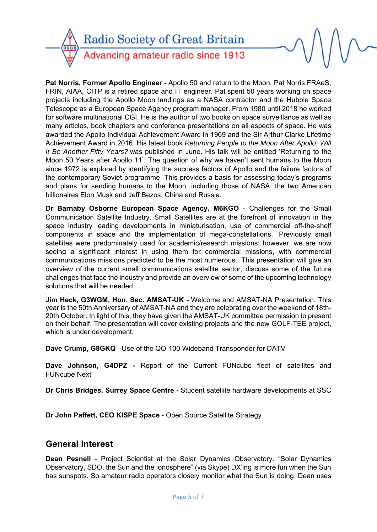

**Pat Norris, Former Apollo Engineer -** Apollo 50 and return to the Moon. Pat Norris FRAeS, FRIN, AIAA, CITP is a retired space and IT engineer. Pat spent 50 years working on space projects including the Apollo Moon landings as a NASA contractor and the Hubble Space Telescope as a European Space Agency program manager. From 1980 until 2018 he worked for software multinational CGI. He is the author of two books on space surveillance as well as many articles, book chapters and conference presentations on all aspects of space. He was awarded the Apollo Individual Achievement Award in 1969 and the Sir Arthur Clarke Lifetime Achievement Award in 2016. His latest book *Returning People to the Moon After Apollo: Will It Be Another Fifty Years?* was published in June. His talk will be entitled 'Returning to the Moon 50 Years after Apollo 11'. The question of why we haven't sent humans to the Moon since 1972 is explored by identifying the success factors of Apollo and the failure factors of the contemporary Soviet programme. This provides a basis for assessing today's programs and plans for sending humans to the Moon, including those of NASA, the two American billionaires Elon Musk and Jeff Bezos, China and Russia.

**Dr Barnaby Osborne European Space Agency, M6KGO** - Challenges for the Small Communication Satellite Industry. Small Satellites are at the forefront of innovation in the space industry leading developments in miniaturisation, use of commercial off-the-shelf components in space and the implementation of mega-constellations. Previously small satellites were predominately used for academic/research missions; however, we are now seeing a significant interest in using them for commercial missions, with commercial communications missions predicted to be the most numerous. This presentation will give an overview of the current small communications satellite sector, discuss some of the future challenges that face the industry and provide an overview of some of the upcoming technology solutions that will be needed.

**Jim Heck, G3WGM, Hon. Sec. AMSAT-UK -** Welcome and AMSAT-NA Presentation. This year is the 50th Anniversary of AMSAT-NA and they are celebrating over the weekend of 18th-20th October. In light of this, they have given the AMSAT-UK committee permission to present on their behalf. The presentation will cover existing projects and the new GOLF-TEE project, which is under development.

**Dave Crump, G8GKQ** - Use of the QO-100 Wideband Transponder for DATV

**Dave Johnson, G4DPZ -** Report of the Current FUNcube fleet of satellites and FUNcube Next

**Dr Chris Bridges, Surrey Space Centre -** Student satellite hardware developments at SSC

**Dr John Paffett, CEO KISPE Space** - Open Source Satellite Strategy

### **General interest**

**Dean Pesnell** - Project Scientist at the Solar Dynamics Observatory. "Solar Dynamics Observatory, SDO, the Sun and the Ionosphere" (via Skype) DX'ing is more fun when the Sun has sunspots. So amateur radio operators closely monitor what the Sun is doing. Dean uses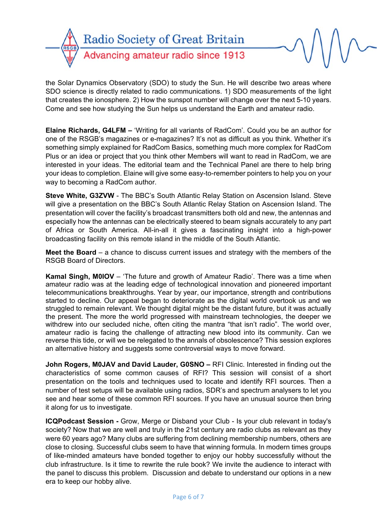

the Solar Dynamics Observatory (SDO) to study the Sun. He will describe two areas where SDO science is directly related to radio communications. 1) SDO measurements of the light that creates the ionosphere. 2) How the sunspot number will change over the next 5-10 years. Come and see how studying the Sun helps us understand the Earth and amateur radio.

**Elaine Richards, G4LFM –** 'Writing for all variants of RadCom'. Could you be an author for one of the RSGB's magazines or e-magazines? It's not as difficult as you think. Whether it's something simply explained for RadCom Basics, something much more complex for RadCom Plus or an idea or project that you think other Members will want to read in RadCom, we are interested in your ideas. The editorial team and the Technical Panel are there to help bring your ideas to completion. Elaine will give some easy-to-remember pointers to help you on your way to becoming a RadCom author.

**Steve White, G3ZVW** - The BBC's South Atlantic Relay Station on Ascension Island. Steve will give a presentation on the BBC's South Atlantic Relay Station on Ascension Island. The presentation will cover the facility's broadcast transmitters both old and new, the antennas and especially how the antennas can be electrically steered to beam signals accurately to any part of Africa or South America. All-in-all it gives a fascinating insight into a high-power broadcasting facility on this remote island in the middle of the South Atlantic.

**Meet the Board** – a chance to discuss current issues and strategy with the members of the RSGB Board of Directors.

**Kamal Singh, M0IOV** – 'The future and growth of Amateur Radio'. There was a time when amateur radio was at the leading edge of technological innovation and pioneered important telecommunications breakthroughs. Year by year, our importance, strength and contributions started to decline. Our appeal began to deteriorate as the digital world overtook us and we struggled to remain relevant. We thought digital might be the distant future, but it was actually the present. The more the world progressed with mainstream technologies, the deeper we withdrew into our secluded niche, often citing the mantra "that isn't radio". The world over, amateur radio is facing the challenge of attracting new blood into its community. Can we reverse this tide, or will we be relegated to the annals of obsolescence? This session explores an alternative history and suggests some controversial ways to move forward.

**John Rogers, M0JAV and David Lauder, G0SNO – RFI Clinic. Interested in finding out the** characteristics of some common causes of RFI? This session will consist of a short presentation on the tools and techniques used to locate and identify RFI sources. Then a number of test setups will be available using radios, SDR's and spectrum analysers to let you see and hear some of these common RFI sources. If you have an unusual source then bring it along for us to investigate.

**ICQPodcast Session -** Grow, Merge or Disband your Club - Is your club relevant in today's society? Now that we are well and truly in the 21st century are radio clubs as relevant as they were 60 years ago? Many clubs are suffering from declining membership numbers, others are close to closing. Successful clubs seem to have that winning formula. In modern times groups of like-minded amateurs have bonded together to enjoy our hobby successfully without the club infrastructure. Is it time to rewrite the rule book? We invite the audience to interact with the panel to discuss this problem. Discussion and debate to understand our options in a new era to keep our hobby alive.